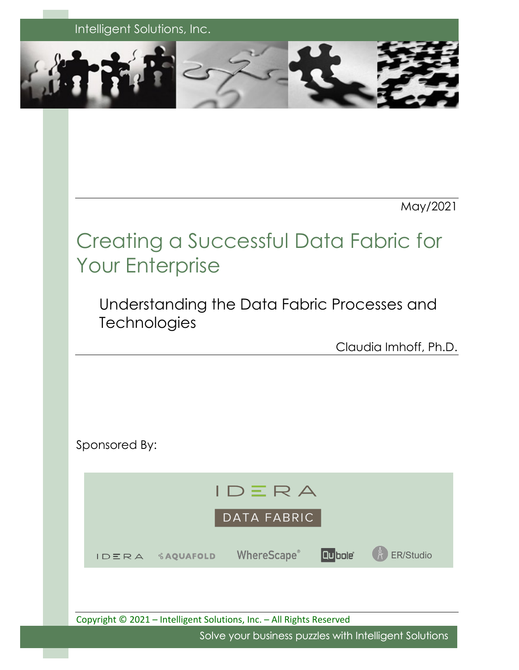

May/2021

# Creating a Successful Data Fabric for Your Enterprise

Understanding the Data Fabric Processes and **Technologies** 

Claudia Imhoff, Ph.D.

Sponsored By:



Copyright © 2021 – Intelligent Solutions, Inc. – All Rights Reserved

Solve your business puzzles with Intelligent Solutions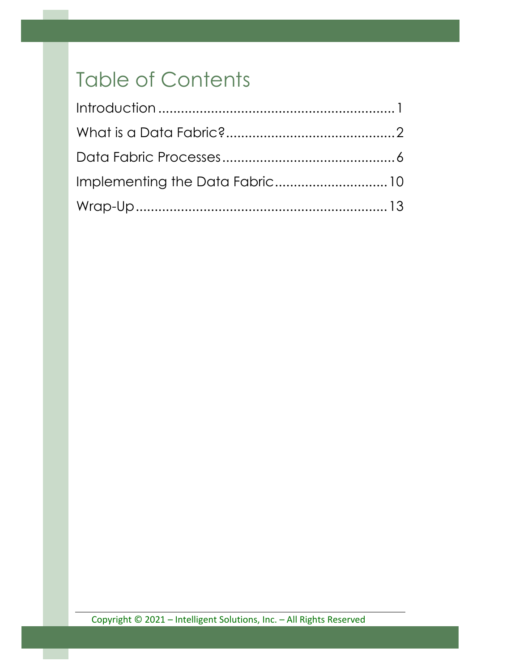# Table of Contents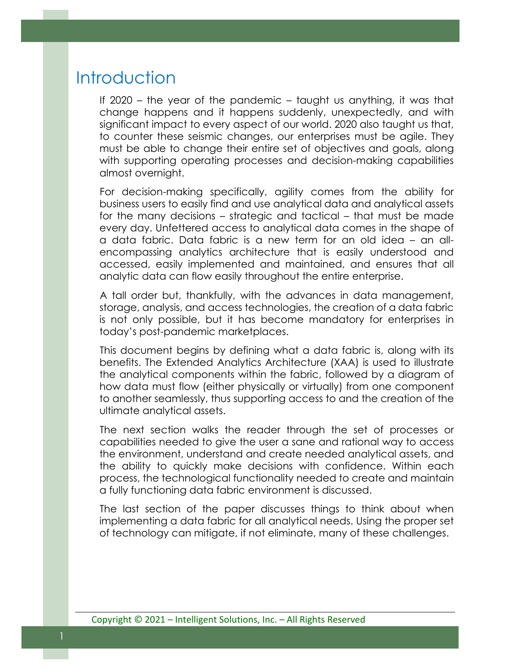### **Introduction**

If 2020 – the year of the pandemic – taught us anything, it was that change happens and it happens suddenly, unexpectedly, and with significant impact to every aspect of our world. 2020 also taught us that, to counter these seismic changes, our enterprises must be agile. They must be able to change their entire set of objectives and goals, along with supporting operating processes and decision-making capabilities almost overnight.

For decision-making specifically, agility comes from the ability for business users to easily find and use analytical data and analytical assets for the many decisions – strategic and tactical – that must be made every day. Unfettered access to analytical data comes in the shape of a data fabric. Data fabric is a new term for an old idea – an allencompassing analytics architecture that is easily understood and accessed, easily implemented and maintained, and ensures that all analytic data can flow easily throughout the entire enterprise.

A tall order but, thankfully, with the advances in data management, storage, analysis, and access technologies, the creation of a data fabric is not only possible, but it has become mandatory for enterprises in today's post-pandemic marketplaces.

This document begins by defining what a data fabric is, along with its benefits. The Extended Analytics Architecture (XAA) is used to illustrate the analytical components within the fabric, followed by a diagram of how data must flow (either physically or virtually) from one component to another seamlessly, thus supporting access to and the creation of the ultimate analytical assets.

The next section walks the reader through the set of processes or capabilities needed to give the user a sane and rational way to access the environment, understand and create needed analytical assets, and the ability to quickly make decisions with confidence. Within each process, the technological functionality needed to create and maintain a fully functioning data fabric environment is discussed.

The last section of the paper discusses things to think about when implementing a data fabric for all analytical needs. Using the proper set of technology can mitigate, if not eliminate, many of these challenges.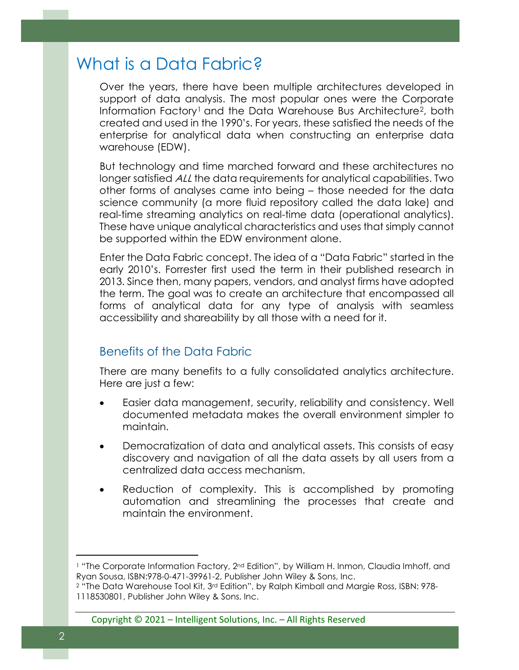## What is a Data Fabric?

Over the years, there have been multiple architectures developed in support of data analysis. The most popular ones were the Corporate Information Factory<sup>[1](#page-3-0)</sup> and the Data Warehouse Bus Architecture<sup>2</sup>, both created and used in the 1990's. For years, these satisfied the needs of the enterprise for analytical data when constructing an enterprise data warehouse (EDW).

But technology and time marched forward and these architectures no longer satisfied ALL the data requirements for analytical capabilities. Two other forms of analyses came into being – those needed for the data science community (a more fluid repository called the data lake) and real-time streaming analytics on real-time data (operational analytics). These have unique analytical characteristics and uses that simply cannot be supported within the EDW environment alone.

Enter the Data Fabric concept. The idea of a "Data Fabric" started in the early 2010's. Forrester first used the term in their published research in 2013. Since then, many papers, vendors, and analyst firms have adopted the term. The goal was to create an architecture that encompassed all forms of analytical data for any type of analysis with seamless accessibility and shareability by all those with a need for it.

#### Benefits of the Data Fabric

There are many benefits to a fully consolidated analytics architecture. Here are just a few:

- Easier data management, security, reliability and consistency. Well documented metadata makes the overall environment simpler to maintain.
- Democratization of data and analytical assets. This consists of easy discovery and navigation of all the data assets by all users from a centralized data access mechanism.
- Reduction of complexity. This is accomplished by promoting automation and streamlining the processes that create and maintain the environment.

Copyright © 2021 – Intelligent Solutions, Inc. – All Rights Reserved

<span id="page-3-0"></span><sup>&</sup>lt;sup>1</sup> "The Corporate Information Factory, 2<sup>nd</sup> Edition", by William H. Inmon, Claudia Imhoff, and Ryan Sousa, ISBN:978-0-471-39961-2, Publisher John Wiley & Sons, Inc.

<span id="page-3-1"></span><sup>2</sup> "The Data Warehouse Tool Kit, 3rd Edition", by Ralph Kimball and Margie Ross, ISBN: 978- 1118530801, Publisher John Wiley & Sons, Inc.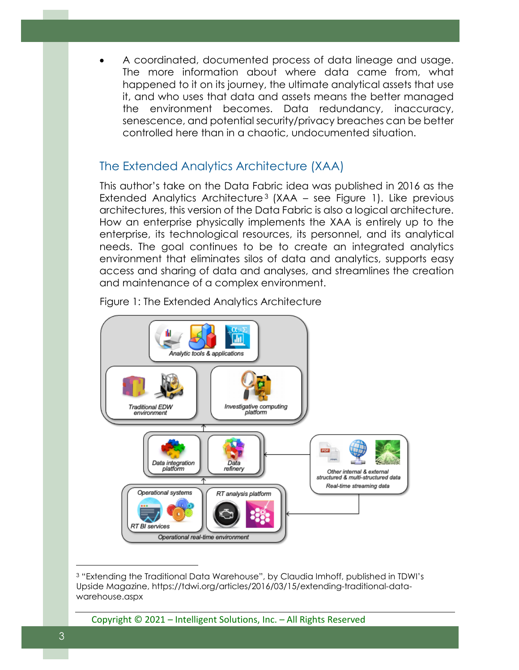• A coordinated, documented process of data lineage and usage. The more information about where data came from, what happened to it on its journey, the ultimate analytical assets that use it, and who uses that data and assets means the better managed the environment becomes. Data redundancy, inaccuracy, senescence, and potential security/privacy breaches can be better controlled here than in a chaotic, undocumented situation.

#### The Extended Analytics Architecture (XAA)

This author's take on the Data Fabric idea was published in 2016 as the Extended Analytics Architecture<sup>[3](#page-4-0)</sup> (XAA – see Figure 1). Like previous architectures, this version of the Data Fabric is also a logical architecture. How an enterprise physically implements the XAA is entirely up to the enterprise, its technological resources, its personnel, and its analytical needs. The goal continues to be to create an integrated analytics environment that eliminates silos of data and analytics, supports easy access and sharing of data and analyses, and streamlines the creation and maintenance of a complex environment.



Figure 1: The Extended Analytics Architecture

Copyright © 2021 – Intelligent Solutions, Inc. – All Rights Reserved

<span id="page-4-0"></span><sup>3</sup> "Extending the Traditional Data Warehouse", by Claudia Imhoff, published in TDWI's Upside Magazine, https://tdwi.org/articles/2016/03/15/extending-traditional-datawarehouse.aspx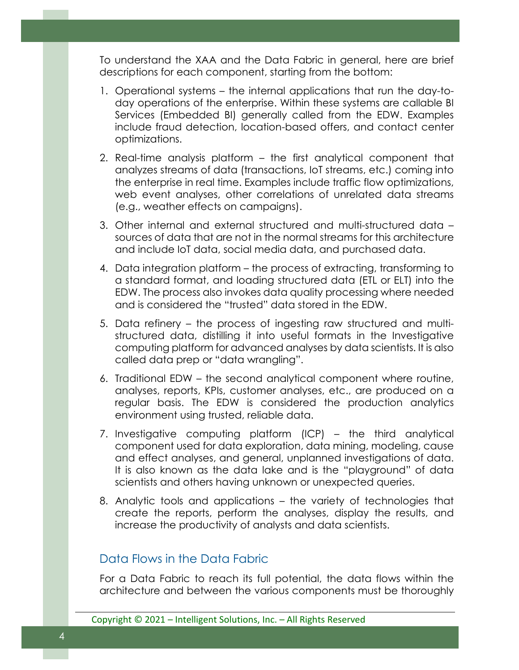To understand the XAA and the Data Fabric in general, here are brief descriptions for each component, starting from the bottom:

- 1. Operational systems the internal applications that run the day-today operations of the enterprise. Within these systems are callable BI Services (Embedded BI) generally called from the EDW. Examples include fraud detection, location-based offers, and contact center optimizations.
- 2. Real-time analysis platform the first analytical component that analyzes streams of data (transactions, IoT streams, etc.) coming into the enterprise in real time. Examples include traffic flow optimizations, web event analyses, other correlations of unrelated data streams (e.g., weather effects on campaigns).
- 3. Other internal and external structured and multi-structured data sources of data that are not in the normal streams for this architecture and include IoT data, social media data, and purchased data.
- 4. Data integration platform the process of extracting, transforming to a standard format, and loading structured data (ETL or ELT) into the EDW. The process also invokes data quality processing where needed and is considered the "trusted" data stored in the EDW.
- 5. Data refinery the process of ingesting raw structured and multistructured data, distilling it into useful formats in the Investigative computing platform for advanced analyses by data scientists. It is also called data prep or "data wrangling".
- 6. Traditional EDW the second analytical component where routine, analyses, reports, KPIs, customer analyses, etc., are produced on a regular basis. The EDW is considered the production analytics environment using trusted, reliable data.
- 7. Investigative computing platform (ICP) the third analytical component used for data exploration, data mining, modeling, cause and effect analyses, and general, unplanned investigations of data. It is also known as the data lake and is the "playground" of data scientists and others having unknown or unexpected queries.
- 8. Analytic tools and applications the variety of technologies that create the reports, perform the analyses, display the results, and increase the productivity of analysts and data scientists.

#### Data Flows in the Data Fabric

For a Data Fabric to reach its full potential, the data flows within the architecture and between the various components must be thoroughly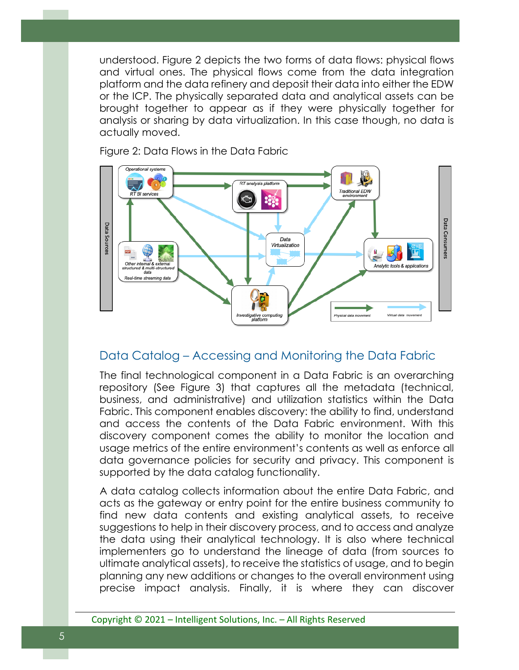understood. Figure 2 depicts the two forms of data flows: physical flows and virtual ones. The physical flows come from the data integration platform and the data refinery and deposit their data into either the EDW or the ICP. The physically separated data and analytical assets can be brought together to appear as if they were physically together for analysis or sharing by data virtualization. In this case though, no data is actually moved.



Figure 2: Data Flows in the Data Fabric

#### Data Catalog – Accessing and Monitoring the Data Fabric

The final technological component in a Data Fabric is an overarching repository (See Figure 3) that captures all the metadata (technical, business, and administrative) and utilization statistics within the Data Fabric. This component enables discovery: the ability to find, understand and access the contents of the Data Fabric environment. With this discovery component comes the ability to monitor the location and usage metrics of the entire environment's contents as well as enforce all data governance policies for security and privacy. This component is supported by the data catalog functionality.

A data catalog collects information about the entire Data Fabric, and acts as the gateway or entry point for the entire business community to find new data contents and existing analytical assets, to receive suggestions to help in their discovery process, and to access and analyze the data using their analytical technology. It is also where technical implementers go to understand the lineage of data (from sources to ultimate analytical assets), to receive the statistics of usage, and to begin planning any new additions or changes to the overall environment using precise impact analysis. Finally, it is where they can discover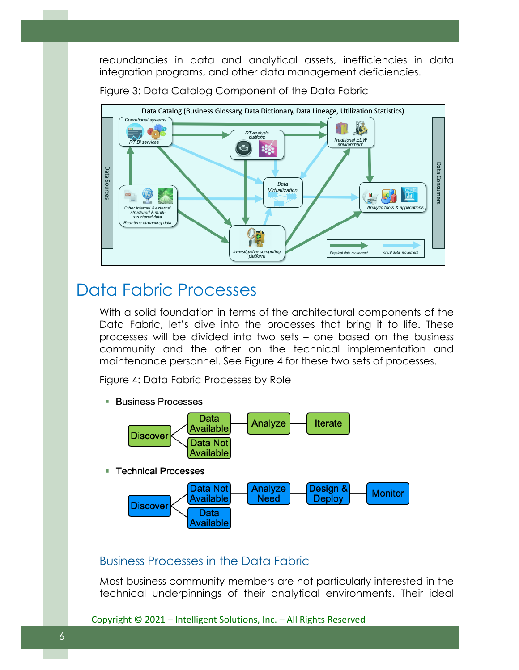redundancies in data and analytical assets, inefficiencies in data integration programs, and other data management deficiencies.

Figure 3: Data Catalog Component of the Data Fabric



### Data Fabric Processes

With a solid foundation in terms of the architectural components of the Data Fabric, let's dive into the processes that bring it to life. These processes will be divided into two sets – one based on the business community and the other on the technical implementation and maintenance personnel. See Figure 4 for these two sets of processes.

Figure 4: Data Fabric Processes by Role

**Business Processes** 



#### Business Processes in the Data Fabric

Most business community members are not particularly interested in the technical underpinnings of their analytical environments. Their ideal

Copyright © 2021 – Intelligent Solutions, Inc. – All Rights Reserved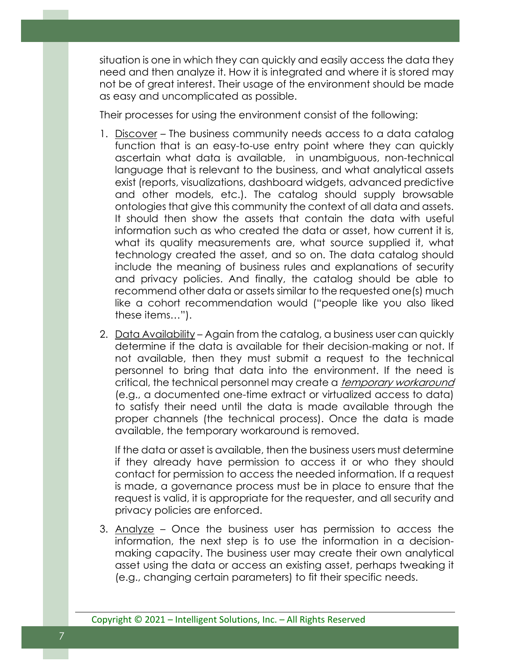situation is one in which they can quickly and easily access the data they need and then analyze it. How it is integrated and where it is stored may not be of great interest. Their usage of the environment should be made as easy and uncomplicated as possible.

Their processes for using the environment consist of the following:

- 1. Discover The business community needs access to a data catalog function that is an easy-to-use entry point where they can quickly ascertain what data is available, in unambiguous, non-technical language that is relevant to the business, and what analytical assets exist (reports, visualizations, dashboard widgets, advanced predictive and other models, etc.). The catalog should supply browsable ontologies that give this community the context of all data and assets. It should then show the assets that contain the data with useful information such as who created the data or asset, how current it is, what its quality measurements are, what source supplied it, what technology created the asset, and so on. The data catalog should include the meaning of business rules and explanations of security and privacy policies. And finally, the catalog should be able to recommend other data or assets similar to the requested one(s) much like a cohort recommendation would ("people like you also liked these items…").
- 2. Data Availability Again from the catalog, a business user can quickly determine if the data is available for their decision-making or not. If not available, then they must submit a request to the technical personnel to bring that data into the environment. If the need is critical, the technical personnel may create a *temporary workaround* (e.g., a documented one-time extract or virtualized access to data) to satisfy their need until the data is made available through the proper channels (the technical process). Once the data is made available, the temporary workaround is removed.

If the data or asset is available, then the business users must determine if they already have permission to access it or who they should contact for permission to access the needed information. If a request is made, a governance process must be in place to ensure that the request is valid, it is appropriate for the requester, and all security and privacy policies are enforced.

3. Analyze – Once the business user has permission to access the information, the next step is to use the information in a decisionmaking capacity. The business user may create their own analytical asset using the data or access an existing asset, perhaps tweaking it (e.g., changing certain parameters) to fit their specific needs.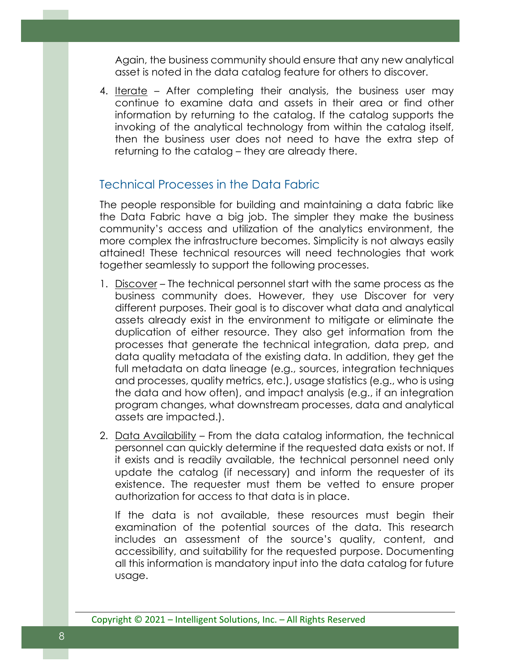Again, the business community should ensure that any new analytical asset is noted in the data catalog feature for others to discover.

4. Iterate – After completing their analysis, the business user may continue to examine data and assets in their area or find other information by returning to the catalog. If the catalog supports the invoking of the analytical technology from within the catalog itself, then the business user does not need to have the extra step of returning to the catalog – they are already there.

#### Technical Processes in the Data Fabric

The people responsible for building and maintaining a data fabric like the Data Fabric have a big job. The simpler they make the business community's access and utilization of the analytics environment, the more complex the infrastructure becomes. Simplicity is not always easily attained! These technical resources will need technologies that work together seamlessly to support the following processes.

- 1. Discover The technical personnel start with the same process as the business community does. However, they use Discover for very different purposes. Their goal is to discover what data and analytical assets already exist in the environment to mitigate or eliminate the duplication of either resource. They also get information from the processes that generate the technical integration, data prep, and data quality metadata of the existing data. In addition, they get the full metadata on data lineage (e.g., sources, integration techniques and processes, quality metrics, etc.), usage statistics (e.g., who is using the data and how often), and impact analysis (e.g., if an integration program changes, what downstream processes, data and analytical assets are impacted.).
- 2. Data Availability From the data catalog information, the technical personnel can quickly determine if the requested data exists or not. If it exists and is readily available, the technical personnel need only update the catalog (if necessary) and inform the requester of its existence. The requester must them be vetted to ensure proper authorization for access to that data is in place.

If the data is not available, these resources must begin their examination of the potential sources of the data. This research includes an assessment of the source's quality, content, and accessibility, and suitability for the requested purpose. Documenting all this information is mandatory input into the data catalog for future usage.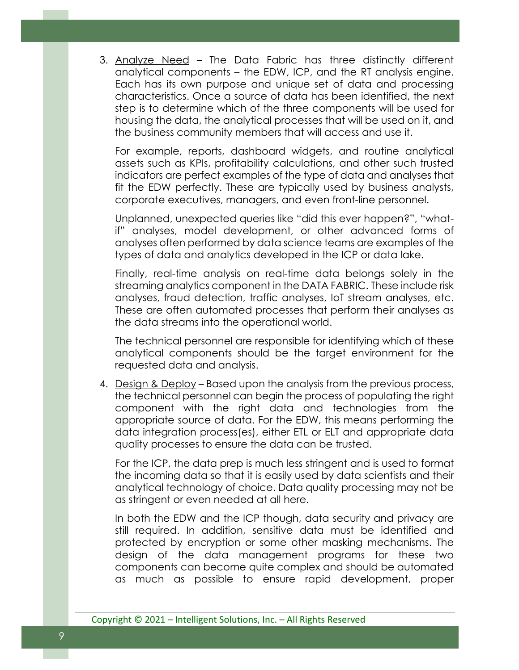3. Analyze Need – The Data Fabric has three distinctly different analytical components – the EDW, ICP, and the RT analysis engine. Each has its own purpose and unique set of data and processing characteristics. Once a source of data has been identified, the next step is to determine which of the three components will be used for housing the data, the analytical processes that will be used on it, and the business community members that will access and use it.

For example, reports, dashboard widgets, and routine analytical assets such as KPIs, profitability calculations, and other such trusted indicators are perfect examples of the type of data and analyses that fit the EDW perfectly. These are typically used by business analysts, corporate executives, managers, and even front-line personnel.

Unplanned, unexpected queries like "did this ever happen?", "whatif" analyses, model development, or other advanced forms of analyses often performed by data science teams are examples of the types of data and analytics developed in the ICP or data lake.

Finally, real-time analysis on real-time data belongs solely in the streaming analytics component in the DATA FABRIC. These include risk analyses, fraud detection, traffic analyses, IoT stream analyses, etc. These are often automated processes that perform their analyses as the data streams into the operational world.

The technical personnel are responsible for identifying which of these analytical components should be the target environment for the requested data and analysis.

4. Design & Deploy – Based upon the analysis from the previous process, the technical personnel can begin the process of populating the right component with the right data and technologies from the appropriate source of data. For the EDW, this means performing the data integration process(es), either ETL or ELT and appropriate data quality processes to ensure the data can be trusted.

For the ICP, the data prep is much less stringent and is used to format the incoming data so that it is easily used by data scientists and their analytical technology of choice. Data quality processing may not be as stringent or even needed at all here.

In both the EDW and the ICP though, data security and privacy are still required. In addition, sensitive data must be identified and protected by encryption or some other masking mechanisms. The design of the data management programs for these two components can become quite complex and should be automated as much as possible to ensure rapid development, proper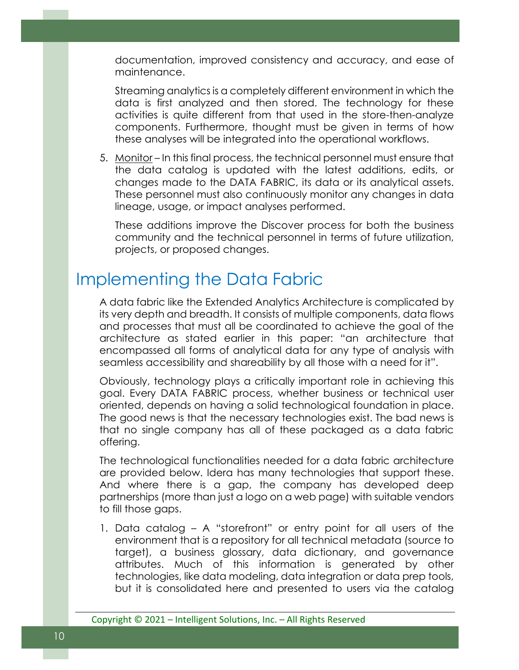documentation, improved consistency and accuracy, and ease of maintenance.

Streaming analytics is a completely different environment in which the data is first analyzed and then stored. The technology for these activities is quite different from that used in the store-then-analyze components. Furthermore, thought must be given in terms of how these analyses will be integrated into the operational workflows.

5. Monitor – In this final process, the technical personnel must ensure that the data catalog is updated with the latest additions, edits, or changes made to the DATA FABRIC, its data or its analytical assets. These personnel must also continuously monitor any changes in data lineage, usage, or impact analyses performed.

These additions improve the Discover process for both the business community and the technical personnel in terms of future utilization, projects, or proposed changes.

## Implementing the Data Fabric

A data fabric like the Extended Analytics Architecture is complicated by its very depth and breadth. It consists of multiple components, data flows and processes that must all be coordinated to achieve the goal of the architecture as stated earlier in this paper: "an architecture that encompassed all forms of analytical data for any type of analysis with seamless accessibility and shareability by all those with a need for it".

Obviously, technology plays a critically important role in achieving this goal. Every DATA FABRIC process, whether business or technical user oriented, depends on having a solid technological foundation in place. The good news is that the necessary technologies exist. The bad news is that no single company has all of these packaged as a data fabric offering.

The technological functionalities needed for a data fabric architecture are provided below. Idera has many technologies that support these. And where there is a gap, the company has developed deep partnerships (more than just a logo on a web page) with suitable vendors to fill those gaps.

1. Data catalog – A "storefront" or entry point for all users of the environment that is a repository for all technical metadata (source to target), a business glossary, data dictionary, and governance attributes. Much of this information is generated by other technologies, like data modeling, data integration or data prep tools, but it is consolidated here and presented to users via the catalog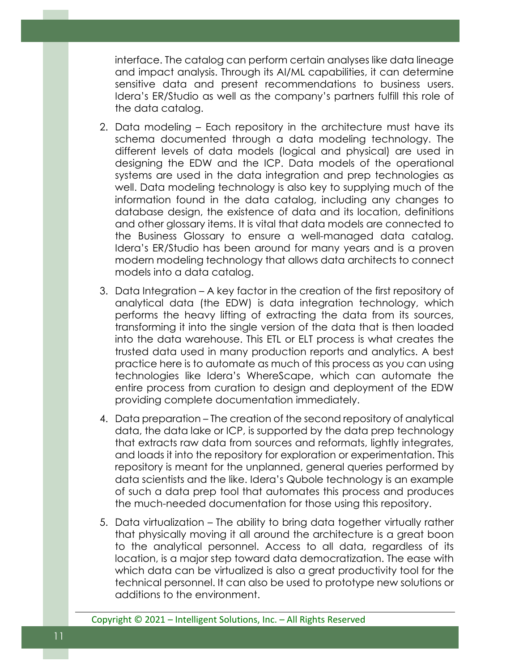interface. The catalog can perform certain analyses like data lineage and impact analysis. Through its AI/ML capabilities, it can determine sensitive data and present recommendations to business users. Idera's ER/Studio as well as the company's partners fulfill this role of the data catalog.

- 2. Data modeling Each repository in the architecture must have its schema documented through a data modeling technology. The different levels of data models (logical and physical) are used in designing the EDW and the ICP. Data models of the operational systems are used in the data integration and prep technologies as well. Data modeling technology is also key to supplying much of the information found in the data catalog, including any changes to database design, the existence of data and its location, definitions and other glossary items. It is vital that data models are connected to the Business Glossary to ensure a well-managed data catalog. Idera's ER/Studio has been around for many years and is a proven modern modeling technology that allows data architects to connect models into a data catalog.
- 3. Data Integration A key factor in the creation of the first repository of analytical data (the EDW) is data integration technology, which performs the heavy lifting of extracting the data from its sources, transforming it into the single version of the data that is then loaded into the data warehouse. This ETL or ELT process is what creates the trusted data used in many production reports and analytics. A best practice here is to automate as much of this process as you can using technologies like Idera's WhereScape, which can automate the entire process from curation to design and deployment of the EDW providing complete documentation immediately.
- 4. Data preparation The creation of the second repository of analytical data, the data lake or ICP, is supported by the data prep technology that extracts raw data from sources and reformats, lightly integrates, and loads it into the repository for exploration or experimentation. This repository is meant for the unplanned, general queries performed by data scientists and the like. Idera's Qubole technology is an example of such a data prep tool that automates this process and produces the much-needed documentation for those using this repository.
- 5. Data virtualization The ability to bring data together virtually rather that physically moving it all around the architecture is a great boon to the analytical personnel. Access to all data, regardless of its location, is a major step toward data democratization. The ease with which data can be virtualized is also a great productivity tool for the technical personnel. It can also be used to prototype new solutions or additions to the environment.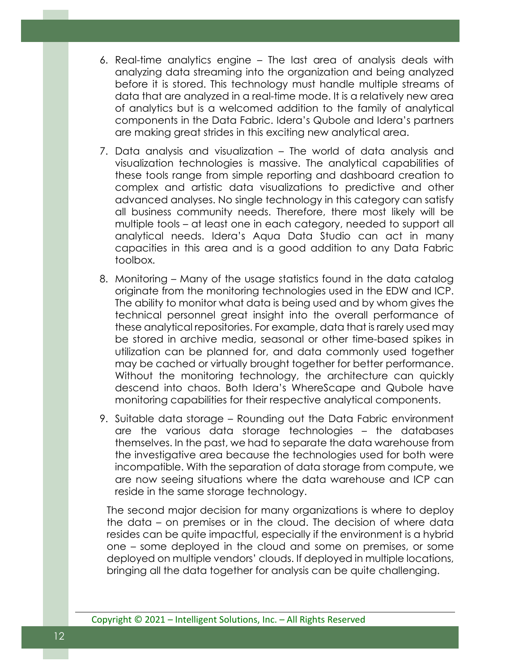- 6. Real-time analytics engine The last area of analysis deals with analyzing data streaming into the organization and being analyzed before it is stored. This technology must handle multiple streams of data that are analyzed in a real-time mode. It is a relatively new area of analytics but is a welcomed addition to the family of analytical components in the Data Fabric. Idera's Qubole and Idera's partners are making great strides in this exciting new analytical area.
- 7. Data analysis and visualization The world of data analysis and visualization technologies is massive. The analytical capabilities of these tools range from simple reporting and dashboard creation to complex and artistic data visualizations to predictive and other advanced analyses. No single technology in this category can satisfy all business community needs. Therefore, there most likely will be multiple tools – at least one in each category, needed to support all analytical needs. Idera's Aqua Data Studio can act in many capacities in this area and is a good addition to any Data Fabric toolbox.
- 8. Monitoring Many of the usage statistics found in the data catalog originate from the monitoring technologies used in the EDW and ICP. The ability to monitor what data is being used and by whom gives the technical personnel great insight into the overall performance of these analytical repositories. For example, data that is rarely used may be stored in archive media, seasonal or other time-based spikes in utilization can be planned for, and data commonly used together may be cached or virtually brought together for better performance. Without the monitoring technology, the architecture can quickly descend into chaos. Both Idera's WhereScape and Qubole have monitoring capabilities for their respective analytical components.
- 9. Suitable data storage Rounding out the Data Fabric environment are the various data storage technologies – the databases themselves. In the past, we had to separate the data warehouse from the investigative area because the technologies used for both were incompatible. With the separation of data storage from compute, we are now seeing situations where the data warehouse and ICP can reside in the same storage technology.

The second major decision for many organizations is where to deploy the data – on premises or in the cloud. The decision of where data resides can be quite impactful, especially if the environment is a hybrid one – some deployed in the cloud and some on premises, or some deployed on multiple vendors' clouds. If deployed in multiple locations, bringing all the data together for analysis can be quite challenging.